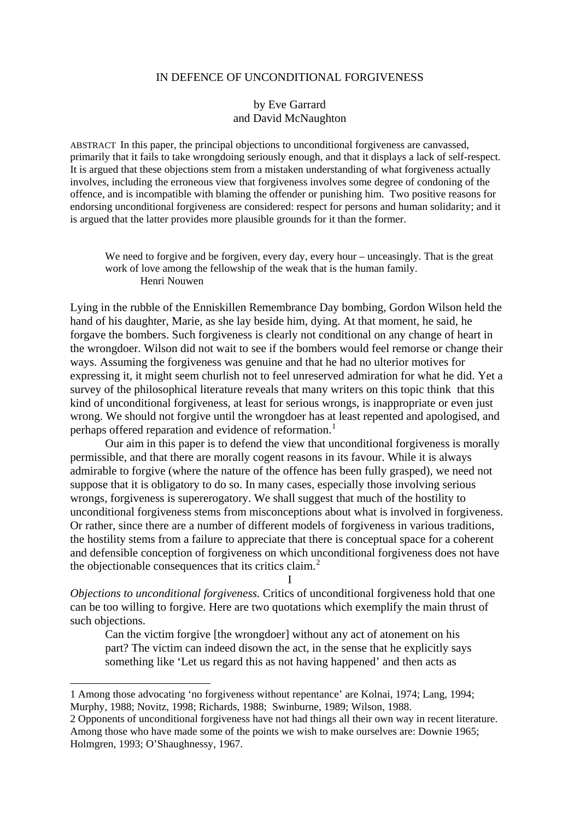## IN DEFENCE OF UNCONDITIONAL FORGIVENESS

## by Eve Garrard and David McNaughton

ABSTRACT In this paper, the principal objections to unconditional forgiveness are canvassed, primarily that it fails to take wrongdoing seriously enough, and that it displays a lack of self-respect. It is argued that these objections stem from a mistaken understanding of what forgiveness actually involves, including the erroneous view that forgiveness involves some degree of condoning of the offence, and is incompatible with blaming the offender or punishing him. Two positive reasons for endorsing unconditional forgiveness are considered: respect for persons and human solidarity; and it is argued that the latter provides more plausible grounds for it than the former.

We need to forgive and be forgiven, every day, every hour – unceasingly. That is the great work of love among the fellowship of the weak that is the human family. Henri Nouwen

Lying in the rubble of the Enniskillen Remembrance Day bombing, Gordon Wilson held the hand of his daughter, Marie, as she lay beside him, dying. At that moment, he said, he forgave the bombers. Such forgiveness is clearly not conditional on any change of heart in the wrongdoer. Wilson did not wait to see if the bombers would feel remorse or change their ways. Assuming the forgiveness was genuine and that he had no ulterior motives for expressing it, it might seem churlish not to feel unreserved admiration for what he did. Yet a survey of the philosophical literature reveals that many writers on this topic think that this kind of unconditional forgiveness, at least for serious wrongs, is inappropriate or even just wrong. We should not forgive until the wrongdoer has at least repented and apologised, and perhaps offered reparation and evidence of reformation.<sup>[1](#page-0-0)</sup>

 Our aim in this paper is to defend the view that unconditional forgiveness is morally permissible, and that there are morally cogent reasons in its favour. While it is always admirable to forgive (where the nature of the offence has been fully grasped), we need not suppose that it is obligatory to do so. In many cases, especially those involving serious wrongs, forgiveness is supererogatory. We shall suggest that much of the hostility to unconditional forgiveness stems from misconceptions about what is involved in forgiveness. Or rather, since there are a number of different models of forgiveness in various traditions, the hostility stems from a failure to appreciate that there is conceptual space for a coherent and defensible conception of forgiveness on which unconditional forgiveness does not have the objectionable consequences that its critics claim. $2$ 

I

*Objections to unconditional forgiveness.* Critics of unconditional forgiveness hold that one can be too willing to forgive. Here are two quotations which exemplify the main thrust of such objections.

Can the victim forgive [the wrongdoer] without any act of atonement on his part? The victim can indeed disown the act, in the sense that he explicitly says something like 'Let us regard this as not having happened' and then acts as

<span id="page-0-0"></span><sup>1</sup> Among those advocating 'no forgiveness without repentance' are Kolnai, 1974; Lang, 1994; Murphy, 1988; Novitz, 1998; Richards, 1988; Swinburne, 1989; Wilson, 1988.

<span id="page-0-1"></span><sup>2</sup> Opponents of unconditional forgiveness have not had things all their own way in recent literature. Among those who have made some of the points we wish to make ourselves are: Downie 1965; Holmgren, 1993; O'Shaughnessy, 1967.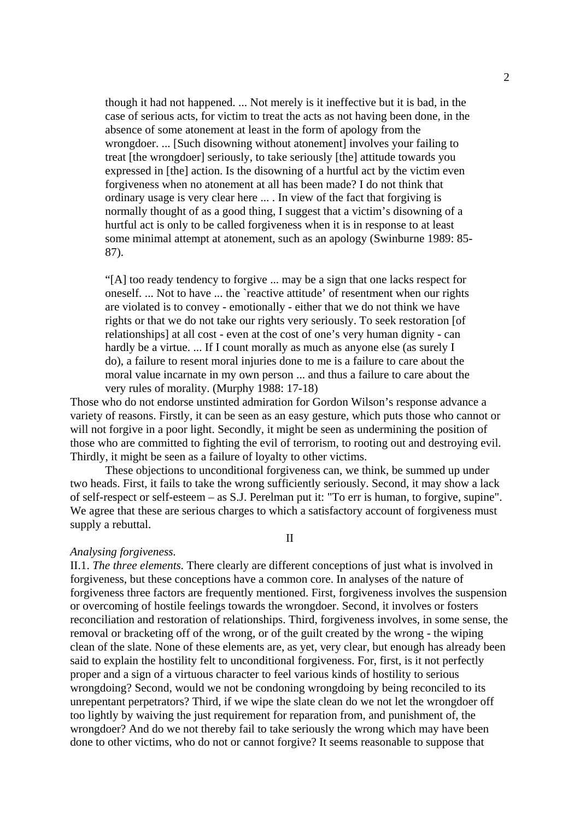though it had not happened. ... Not merely is it ineffective but it is bad, in the case of serious acts, for victim to treat the acts as not having been done, in the absence of some atonement at least in the form of apology from the wrongdoer. ... [Such disowning without atonement] involves your failing to treat [the wrongdoer] seriously, to take seriously [the] attitude towards you expressed in [the] action. Is the disowning of a hurtful act by the victim even forgiveness when no atonement at all has been made? I do not think that ordinary usage is very clear here ... . In view of the fact that forgiving is normally thought of as a good thing, I suggest that a victim's disowning of a hurtful act is only to be called forgiveness when it is in response to at least some minimal attempt at atonement, such as an apology (Swinburne 1989: 85- 87).

"[A] too ready tendency to forgive ... may be a sign that one lacks respect for oneself. ... Not to have ... the `reactive attitude' of resentment when our rights are violated is to convey - emotionally - either that we do not think we have rights or that we do not take our rights very seriously. To seek restoration [of relationships] at all cost - even at the cost of one's very human dignity - can hardly be a virtue. ... If I count morally as much as anyone else (as surely I do), a failure to resent moral injuries done to me is a failure to care about the moral value incarnate in my own person ... and thus a failure to care about the very rules of morality. (Murphy 1988: 17-18)

Those who do not endorse unstinted admiration for Gordon Wilson's response advance a variety of reasons. Firstly, it can be seen as an easy gesture, which puts those who cannot or will not forgive in a poor light. Secondly, it might be seen as undermining the position of those who are committed to fighting the evil of terrorism, to rooting out and destroying evil. Thirdly, it might be seen as a failure of loyalty to other victims.

These objections to unconditional forgiveness can, we think, be summed up under two heads. First, it fails to take the wrong sufficiently seriously. Second, it may show a lack of self-respect or self-esteem – as S.J. Perelman put it: "To err is human, to forgive, supine". We agree that these are serious charges to which a satisfactory account of forgiveness must supply a rebuttal.

II

## *Analysing forgiveness.*

II.1. *The three elements.* There clearly are different conceptions of just what is involved in forgiveness, but these conceptions have a common core. In analyses of the nature of forgiveness three factors are frequently mentioned. First, forgiveness involves the suspension or overcoming of hostile feelings towards the wrongdoer. Second, it involves or fosters reconciliation and restoration of relationships. Third, forgiveness involves, in some sense, the removal or bracketing off of the wrong, or of the guilt created by the wrong - the wiping clean of the slate. None of these elements are, as yet, very clear, but enough has already been said to explain the hostility felt to unconditional forgiveness. For, first, is it not perfectly proper and a sign of a virtuous character to feel various kinds of hostility to serious wrongdoing? Second, would we not be condoning wrongdoing by being reconciled to its unrepentant perpetrators? Third, if we wipe the slate clean do we not let the wrongdoer off too lightly by waiving the just requirement for reparation from, and punishment of, the wrongdoer? And do we not thereby fail to take seriously the wrong which may have been done to other victims, who do not or cannot forgive? It seems reasonable to suppose that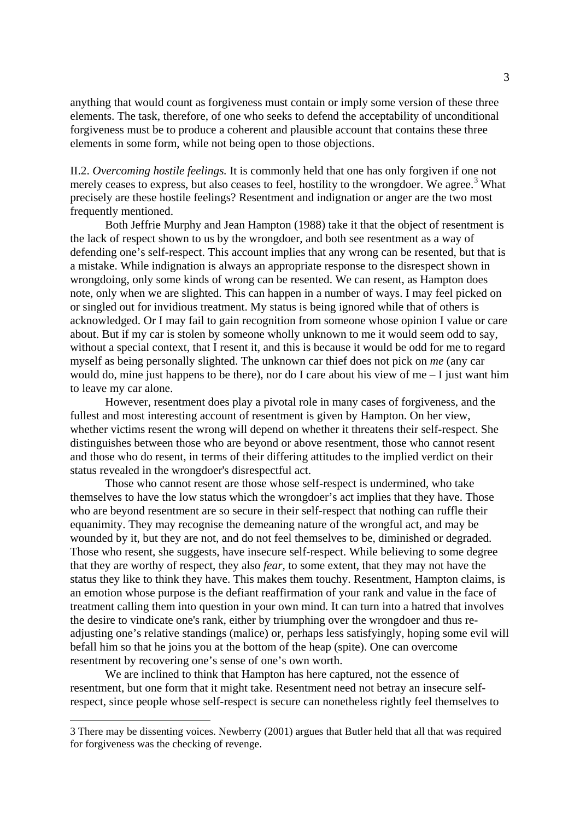anything that would count as forgiveness must contain or imply some version of these three elements. The task, therefore, of one who seeks to defend the acceptability of unconditional forgiveness must be to produce a coherent and plausible account that contains these three elements in some form, while not being open to those objections.

II.2. *Overcoming hostile feelings.* It is commonly held that one has only forgiven if one not merely ceases to express, but also ceases to feel, hostility to the wrongdoer. We agree.<sup>[3](#page-2-0)</sup> What precisely are these hostile feelings? Resentment and indignation or anger are the two most frequently mentioned.

Both Jeffrie Murphy and Jean Hampton (1988) take it that the object of resentment is the lack of respect shown to us by the wrongdoer, and both see resentment as a way of defending one's self-respect. This account implies that any wrong can be resented, but that is a mistake. While indignation is always an appropriate response to the disrespect shown in wrongdoing, only some kinds of wrong can be resented. We can resent, as Hampton does note, only when we are slighted. This can happen in a number of ways. I may feel picked on or singled out for invidious treatment. My status is being ignored while that of others is acknowledged. Or I may fail to gain recognition from someone whose opinion I value or care about. But if my car is stolen by someone wholly unknown to me it would seem odd to say, without a special context, that I resent it, and this is because it would be odd for me to regard myself as being personally slighted. The unknown car thief does not pick on *me* (any car would do, mine just happens to be there), nor do I care about his view of me – I just want him to leave my car alone.

However, resentment does play a pivotal role in many cases of forgiveness, and the fullest and most interesting account of resentment is given by Hampton. On her view, whether victims resent the wrong will depend on whether it threatens their self-respect. She distinguishes between those who are beyond or above resentment, those who cannot resent and those who do resent, in terms of their differing attitudes to the implied verdict on their status revealed in the wrongdoer's disrespectful act.

Those who cannot resent are those whose self-respect is undermined, who take themselves to have the low status which the wrongdoer's act implies that they have. Those who are beyond resentment are so secure in their self-respect that nothing can ruffle their equanimity. They may recognise the demeaning nature of the wrongful act, and may be wounded by it, but they are not, and do not feel themselves to be, diminished or degraded. Those who resent, she suggests, have insecure self-respect. While believing to some degree that they are worthy of respect, they also *fear,* to some extent, that they may not have the status they like to think they have. This makes them touchy. Resentment, Hampton claims, is an emotion whose purpose is the defiant reaffirmation of your rank and value in the face of treatment calling them into question in your own mind. It can turn into a hatred that involves the desire to vindicate one's rank, either by triumphing over the wrongdoer and thus readjusting one's relative standings (malice) or, perhaps less satisfyingly, hoping some evil will befall him so that he joins you at the bottom of the heap (spite). One can overcome resentment by recovering one's sense of one's own worth.

We are inclined to think that Hampton has here captured, not the essence of resentment, but one form that it might take. Resentment need not betray an insecure selfrespect, since people whose self-respect is secure can nonetheless rightly feel themselves to

<span id="page-2-0"></span><sup>3</sup> There may be dissenting voices. Newberry (2001) argues that Butler held that all that was required for forgiveness was the checking of revenge.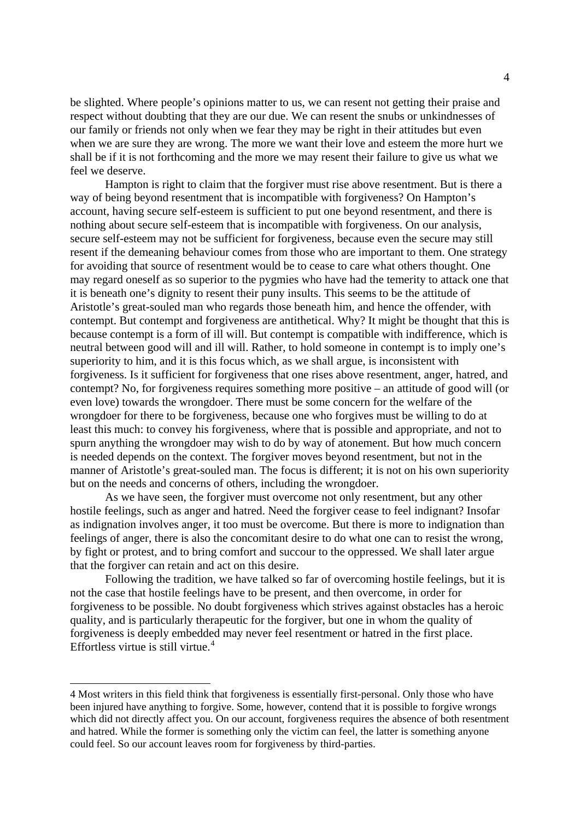be slighted. Where people's opinions matter to us, we can resent not getting their praise and respect without doubting that they are our due. We can resent the snubs or unkindnesses of our family or friends not only when we fear they may be right in their attitudes but even when we are sure they are wrong. The more we want their love and esteem the more hurt we shall be if it is not forthcoming and the more we may resent their failure to give us what we feel we deserve.

Hampton is right to claim that the forgiver must rise above resentment. But is there a way of being beyond resentment that is incompatible with forgiveness? On Hampton's account, having secure self-esteem is sufficient to put one beyond resentment, and there is nothing about secure self-esteem that is incompatible with forgiveness. On our analysis, secure self-esteem may not be sufficient for forgiveness, because even the secure may still resent if the demeaning behaviour comes from those who are important to them. One strategy for avoiding that source of resentment would be to cease to care what others thought. One may regard oneself as so superior to the pygmies who have had the temerity to attack one that it is beneath one's dignity to resent their puny insults. This seems to be the attitude of Aristotle's great-souled man who regards those beneath him, and hence the offender, with contempt. But contempt and forgiveness are antithetical. Why? It might be thought that this is because contempt is a form of ill will. But contempt is compatible with indifference, which is neutral between good will and ill will. Rather, to hold someone in contempt is to imply one's superiority to him, and it is this focus which, as we shall argue, is inconsistent with forgiveness. Is it sufficient for forgiveness that one rises above resentment, anger, hatred, and contempt? No, for forgiveness requires something more positive – an attitude of good will (or even love) towards the wrongdoer. There must be some concern for the welfare of the wrongdoer for there to be forgiveness, because one who forgives must be willing to do at least this much: to convey his forgiveness, where that is possible and appropriate, and not to spurn anything the wrongdoer may wish to do by way of atonement. But how much concern is needed depends on the context. The forgiver moves beyond resentment, but not in the manner of Aristotle's great-souled man. The focus is different; it is not on his own superiority but on the needs and concerns of others, including the wrongdoer.

As we have seen, the forgiver must overcome not only resentment, but any other hostile feelings, such as anger and hatred. Need the forgiver cease to feel indignant? Insofar as indignation involves anger, it too must be overcome. But there is more to indignation than feelings of anger, there is also the concomitant desire to do what one can to resist the wrong, by fight or protest, and to bring comfort and succour to the oppressed. We shall later argue that the forgiver can retain and act on this desire.

Following the tradition, we have talked so far of overcoming hostile feelings, but it is not the case that hostile feelings have to be present, and then overcome, in order for forgiveness to be possible. No doubt forgiveness which strives against obstacles has a heroic quality, and is particularly therapeutic for the forgiver, but one in whom the quality of forgiveness is deeply embedded may never feel resentment or hatred in the first place. Effortless virtue is still virtue. $4$ 

<span id="page-3-0"></span><sup>4</sup> Most writers in this field think that forgiveness is essentially first-personal. Only those who have been injured have anything to forgive. Some, however, contend that it is possible to forgive wrongs which did not directly affect you. On our account, forgiveness requires the absence of both resentment and hatred. While the former is something only the victim can feel, the latter is something anyone could feel. So our account leaves room for forgiveness by third-parties.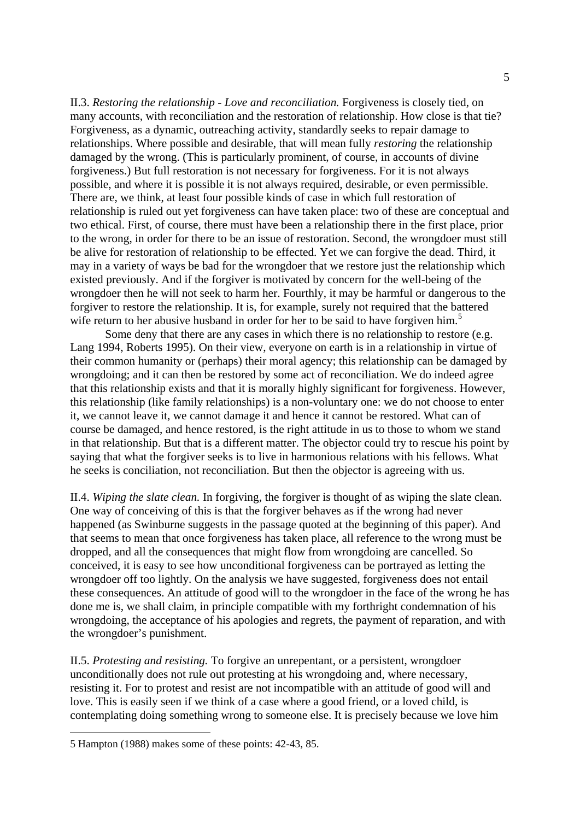II.3. *Restoring the relationship* - *Love and reconciliation.* Forgiveness is closely tied, on many accounts, with reconciliation and the restoration of relationship. How close is that tie? Forgiveness, as a dynamic, outreaching activity, standardly seeks to repair damage to relationships. Where possible and desirable, that will mean fully *restoring* the relationship damaged by the wrong. (This is particularly prominent, of course, in accounts of divine forgiveness.) But full restoration is not necessary for forgiveness. For it is not always possible, and where it is possible it is not always required, desirable, or even permissible. There are, we think, at least four possible kinds of case in which full restoration of relationship is ruled out yet forgiveness can have taken place: two of these are conceptual and two ethical. First, of course, there must have been a relationship there in the first place, prior to the wrong, in order for there to be an issue of restoration. Second, the wrongdoer must still be alive for restoration of relationship to be effected. Yet we can forgive the dead. Third, it may in a variety of ways be bad for the wrongdoer that we restore just the relationship which existed previously. And if the forgiver is motivated by concern for the well-being of the wrongdoer then he will not seek to harm her. Fourthly, it may be harmful or dangerous to the forgiver to restore the relationship. It is, for example, surely not required that the battered wife return to her abusive husband in order for her to be said to have forgiven him.<sup>[5](#page-4-0)</sup>

Some deny that there are any cases in which there is no relationship to restore (e.g. Lang 1994, Roberts 1995). On their view, everyone on earth is in a relationship in virtue of their common humanity or (perhaps) their moral agency; this relationship can be damaged by wrongdoing; and it can then be restored by some act of reconciliation. We do indeed agree that this relationship exists and that it is morally highly significant for forgiveness. However, this relationship (like family relationships) is a non-voluntary one: we do not choose to enter it, we cannot leave it, we cannot damage it and hence it cannot be restored. What can of course be damaged, and hence restored, is the right attitude in us to those to whom we stand in that relationship. But that is a different matter. The objector could try to rescue his point by saying that what the forgiver seeks is to live in harmonious relations with his fellows. What he seeks is conciliation, not reconciliation. But then the objector is agreeing with us.

II.4. *Wiping the slate clean.* In forgiving, the forgiver is thought of as wiping the slate clean. One way of conceiving of this is that the forgiver behaves as if the wrong had never happened (as Swinburne suggests in the passage quoted at the beginning of this paper). And that seems to mean that once forgiveness has taken place, all reference to the wrong must be dropped, and all the consequences that might flow from wrongdoing are cancelled. So conceived, it is easy to see how unconditional forgiveness can be portrayed as letting the wrongdoer off too lightly. On the analysis we have suggested, forgiveness does not entail these consequences. An attitude of good will to the wrongdoer in the face of the wrong he has done me is, we shall claim, in principle compatible with my forthright condemnation of his wrongdoing, the acceptance of his apologies and regrets, the payment of reparation, and with the wrongdoer's punishment.

II.5. *Protesting and resisting.* To forgive an unrepentant, or a persistent, wrongdoer unconditionally does not rule out protesting at his wrongdoing and, where necessary, resisting it. For to protest and resist are not incompatible with an attitude of good will and love. This is easily seen if we think of a case where a good friend, or a loved child, is contemplating doing something wrong to someone else. It is precisely because we love him

<span id="page-4-0"></span><sup>5</sup> Hampton (1988) makes some of these points: 42-43, 85.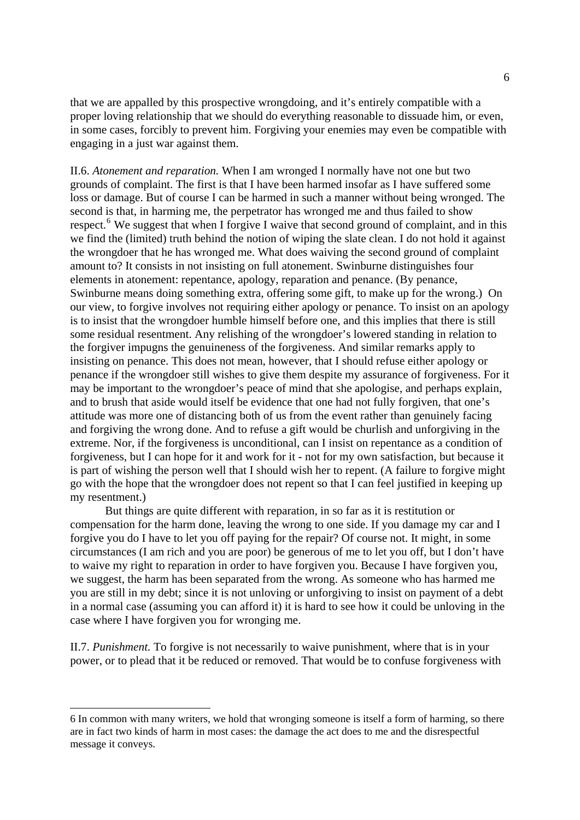that we are appalled by this prospective wrongdoing, and it's entirely compatible with a proper loving relationship that we should do everything reasonable to dissuade him, or even, in some cases, forcibly to prevent him. Forgiving your enemies may even be compatible with engaging in a just war against them.

II.6. *Atonement and reparation.* When I am wronged I normally have not one but two grounds of complaint. The first is that I have been harmed insofar as I have suffered some loss or damage. But of course I can be harmed in such a manner without being wronged. The second is that, in harming me, the perpetrator has wronged me and thus failed to show respect.<sup>[6](#page-5-0)</sup> We suggest that when I forgive I waive that second ground of complaint, and in this we find the (limited) truth behind the notion of wiping the slate clean. I do not hold it against the wrongdoer that he has wronged me. What does waiving the second ground of complaint amount to? It consists in not insisting on full atonement. Swinburne distinguishes four elements in atonement: repentance, apology, reparation and penance. (By penance, Swinburne means doing something extra, offering some gift, to make up for the wrong.) On our view, to forgive involves not requiring either apology or penance. To insist on an apology is to insist that the wrongdoer humble himself before one, and this implies that there is still some residual resentment. Any relishing of the wrongdoer's lowered standing in relation to the forgiver impugns the genuineness of the forgiveness. And similar remarks apply to insisting on penance. This does not mean, however, that I should refuse either apology or penance if the wrongdoer still wishes to give them despite my assurance of forgiveness. For it may be important to the wrongdoer's peace of mind that she apologise, and perhaps explain, and to brush that aside would itself be evidence that one had not fully forgiven, that one's attitude was more one of distancing both of us from the event rather than genuinely facing and forgiving the wrong done. And to refuse a gift would be churlish and unforgiving in the extreme. Nor, if the forgiveness is unconditional, can I insist on repentance as a condition of forgiveness, but I can hope for it and work for it - not for my own satisfaction, but because it is part of wishing the person well that I should wish her to repent. (A failure to forgive might go with the hope that the wrongdoer does not repent so that I can feel justified in keeping up my resentment.)

But things are quite different with reparation, in so far as it is restitution or compensation for the harm done, leaving the wrong to one side. If you damage my car and I forgive you do I have to let you off paying for the repair? Of course not. It might, in some circumstances (I am rich and you are poor) be generous of me to let you off, but I don't have to waive my right to reparation in order to have forgiven you. Because I have forgiven you, we suggest, the harm has been separated from the wrong. As someone who has harmed me you are still in my debt; since it is not unloving or unforgiving to insist on payment of a debt in a normal case (assuming you can afford it) it is hard to see how it could be unloving in the case where I have forgiven you for wronging me.

II.7. *Punishment.* To forgive is not necessarily to waive punishment, where that is in your power, or to plead that it be reduced or removed. That would be to confuse forgiveness with

<span id="page-5-0"></span><sup>6</sup> In common with many writers, we hold that wronging someone is itself a form of harming, so there are in fact two kinds of harm in most cases: the damage the act does to me and the disrespectful message it conveys.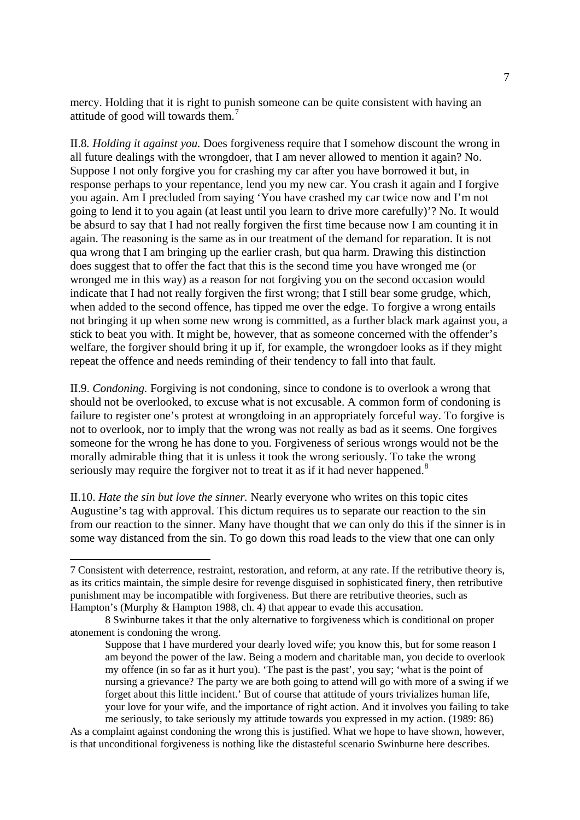mercy. Holding that it is right to punish someone can be quite consistent with having an attitude of good will towards them.[7](#page-6-0)

II.8*. Holding it against you.* Does forgiveness require that I somehow discount the wrong in all future dealings with the wrongdoer, that I am never allowed to mention it again? No. Suppose I not only forgive you for crashing my car after you have borrowed it but, in response perhaps to your repentance, lend you my new car. You crash it again and I forgive you again. Am I precluded from saying 'You have crashed my car twice now and I'm not going to lend it to you again (at least until you learn to drive more carefully)'? No. It would be absurd to say that I had not really forgiven the first time because now I am counting it in again. The reasoning is the same as in our treatment of the demand for reparation. It is not qua wrong that I am bringing up the earlier crash, but qua harm. Drawing this distinction does suggest that to offer the fact that this is the second time you have wronged me (or wronged me in this way) as a reason for not forgiving you on the second occasion would indicate that I had not really forgiven the first wrong; that I still bear some grudge, which, when added to the second offence, has tipped me over the edge. To forgive a wrong entails not bringing it up when some new wrong is committed, as a further black mark against you, a stick to beat you with. It might be, however, that as someone concerned with the offender's welfare, the forgiver should bring it up if, for example, the wrongdoer looks as if they might repeat the offence and needs reminding of their tendency to fall into that fault.

II.9. *Condoning.* Forgiving is not condoning, since to condone is to overlook a wrong that should not be overlooked, to excuse what is not excusable. A common form of condoning is failure to register one's protest at wrongdoing in an appropriately forceful way. To forgive is not to overlook, nor to imply that the wrong was not really as bad as it seems. One forgives someone for the wrong he has done to you. Forgiveness of serious wrongs would not be the morally admirable thing that it is unless it took the wrong seriously. To take the wrong seriously may require the forgiver not to treat it as if it had never happened.<sup>[8](#page-6-1)</sup>

II.10. *Hate the sin but love the sinner.* Nearly everyone who writes on this topic cites Augustine's tag with approval. This dictum requires us to separate our reaction to the sin from our reaction to the sinner. Many have thought that we can only do this if the sinner is in some way distanced from the sin. To go down this road leads to the view that one can only

<span id="page-6-0"></span><sup>7</sup> Consistent with deterrence, restraint, restoration, and reform, at any rate. If the retributive theory is, as its critics maintain, the simple desire for revenge disguised in sophisticated finery, then retributive punishment may be incompatible with forgiveness. But there are retributive theories, such as Hampton's (Murphy & Hampton 1988, ch. 4) that appear to evade this accusation.

<span id="page-6-1"></span><sup>8</sup> Swinburne takes it that the only alternative to forgiveness which is conditional on proper atonement is condoning the wrong.

Suppose that I have murdered your dearly loved wife; you know this, but for some reason I am beyond the power of the law. Being a modern and charitable man, you decide to overlook my offence (in so far as it hurt you). 'The past is the past', you say; 'what is the point of nursing a grievance? The party we are both going to attend will go with more of a swing if we forget about this little incident.' But of course that attitude of yours trivializes human life, your love for your wife, and the importance of right action. And it involves you failing to take me seriously, to take seriously my attitude towards you expressed in my action. (1989: 86)

As a complaint against condoning the wrong this is justified. What we hope to have shown, however, is that unconditional forgiveness is nothing like the distasteful scenario Swinburne here describes.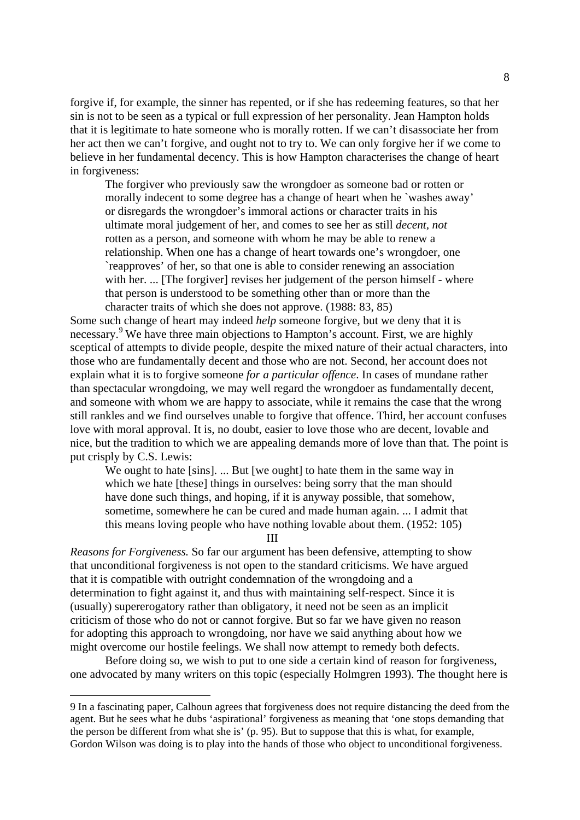forgive if, for example, the sinner has repented, or if she has redeeming features, so that her sin is not to be seen as a typical or full expression of her personality. Jean Hampton holds that it is legitimate to hate someone who is morally rotten. If we can't disassociate her from her act then we can't forgive, and ought not to try to. We can only forgive her if we come to believe in her fundamental decency. This is how Hampton characterises the change of heart in forgiveness:

The forgiver who previously saw the wrongdoer as someone bad or rotten or morally indecent to some degree has a change of heart when he `washes away' or disregards the wrongdoer's immoral actions or character traits in his ultimate moral judgement of her, and comes to see her as still *decent, not*  rotten as a person, and someone with whom he may be able to renew a relationship. When one has a change of heart towards one's wrongdoer, one `reapproves' of her, so that one is able to consider renewing an association with her. ... [The forgiver] revises her judgement of the person himself - where that person is understood to be something other than or more than the character traits of which she does not approve. (1988: 83, 85)

Some such change of heart may indeed *help* someone forgive, but we deny that it is necessary.<sup>[9](#page-7-0)</sup> We have three main objections to Hampton's account. First, we are highly sceptical of attempts to divide people, despite the mixed nature of their actual characters, into those who are fundamentally decent and those who are not. Second, her account does not explain what it is to forgive someone *for a particular offence*. In cases of mundane rather than spectacular wrongdoing, we may well regard the wrongdoer as fundamentally decent, and someone with whom we are happy to associate, while it remains the case that the wrong still rankles and we find ourselves unable to forgive that offence. Third, her account confuses love with moral approval. It is, no doubt, easier to love those who are decent, lovable and nice, but the tradition to which we are appealing demands more of love than that. The point is put crisply by C.S. Lewis:

We ought to hate [sins]. ... But [we ought] to hate them in the same way in which we hate [these] things in ourselves: being sorry that the man should have done such things, and hoping, if it is anyway possible, that somehow, sometime, somewhere he can be cured and made human again. ... I admit that this means loving people who have nothing lovable about them. (1952: 105)

III

*Reasons for Forgiveness.* So far our argument has been defensive, attempting to show that unconditional forgiveness is not open to the standard criticisms. We have argued that it is compatible with outright condemnation of the wrongdoing and a determination to fight against it, and thus with maintaining self-respect. Since it is (usually) supererogatory rather than obligatory, it need not be seen as an implicit criticism of those who do not or cannot forgive. But so far we have given no reason for adopting this approach to wrongdoing, nor have we said anything about how we might overcome our hostile feelings. We shall now attempt to remedy both defects.

 Before doing so, we wish to put to one side a certain kind of reason for forgiveness, one advocated by many writers on this topic (especially Holmgren 1993). The thought here is

 $\overline{a}$ 

<span id="page-7-0"></span><sup>9</sup> In a fascinating paper, Calhoun agrees that forgiveness does not require distancing the deed from the agent. But he sees what he dubs 'aspirational' forgiveness as meaning that 'one stops demanding that the person be different from what she is' (p. 95). But to suppose that this is what, for example, Gordon Wilson was doing is to play into the hands of those who object to unconditional forgiveness.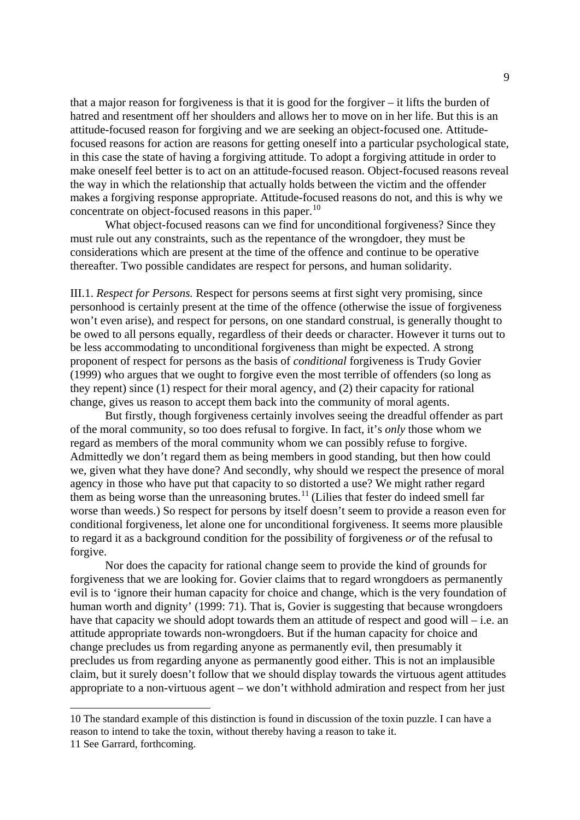that a major reason for forgiveness is that it is good for the forgiver – it lifts the burden of hatred and resentment off her shoulders and allows her to move on in her life. But this is an attitude-focused reason for forgiving and we are seeking an object-focused one. Attitudefocused reasons for action are reasons for getting oneself into a particular psychological state, in this case the state of having a forgiving attitude. To adopt a forgiving attitude in order to make oneself feel better is to act on an attitude-focused reason. Object-focused reasons reveal the way in which the relationship that actually holds between the victim and the offender makes a forgiving response appropriate. Attitude-focused reasons do not, and this is why we concentrate on object-focused reasons in this paper.<sup>[10](#page-8-0)</sup>

What object-focused reasons can we find for unconditional forgiveness? Since they must rule out any constraints, such as the repentance of the wrongdoer, they must be considerations which are present at the time of the offence and continue to be operative thereafter. Two possible candidates are respect for persons, and human solidarity.

III.1. *Respect for Persons.* Respect for persons seems at first sight very promising, since personhood is certainly present at the time of the offence (otherwise the issue of forgiveness won't even arise), and respect for persons, on one standard construal, is generally thought to be owed to all persons equally, regardless of their deeds or character. However it turns out to be less accommodating to unconditional forgiveness than might be expected. A strong proponent of respect for persons as the basis of *conditional* forgiveness is Trudy Govier (1999) who argues that we ought to forgive even the most terrible of offenders (so long as they repent) since (1) respect for their moral agency, and (2) their capacity for rational change, gives us reason to accept them back into the community of moral agents.

But firstly, though forgiveness certainly involves seeing the dreadful offender as part of the moral community, so too does refusal to forgive. In fact, it's *only* those whom we regard as members of the moral community whom we can possibly refuse to forgive. Admittedly we don't regard them as being members in good standing, but then how could we, given what they have done? And secondly, why should we respect the presence of moral agency in those who have put that capacity to so distorted a use? We might rather regard them as being worse than the unreasoning brutes.<sup>[11](#page-8-1)</sup> (Lilies that fester do indeed smell far worse than weeds.) So respect for persons by itself doesn't seem to provide a reason even for conditional forgiveness, let alone one for unconditional forgiveness. It seems more plausible to regard it as a background condition for the possibility of forgiveness *or* of the refusal to forgive.

Nor does the capacity for rational change seem to provide the kind of grounds for forgiveness that we are looking for. Govier claims that to regard wrongdoers as permanently evil is to 'ignore their human capacity for choice and change, which is the very foundation of human worth and dignity' (1999: 71). That is, Govier is suggesting that because wrongdoers have that capacity we should adopt towards them an attitude of respect and good will – i.e. an attitude appropriate towards non-wrongdoers. But if the human capacity for choice and change precludes us from regarding anyone as permanently evil, then presumably it precludes us from regarding anyone as permanently good either. This is not an implausible claim, but it surely doesn't follow that we should display towards the virtuous agent attitudes appropriate to a non-virtuous agent – we don't withhold admiration and respect from her just

<span id="page-8-1"></span><span id="page-8-0"></span><sup>10</sup> The standard example of this distinction is found in discussion of the toxin puzzle. I can have a reason to intend to take the toxin, without thereby having a reason to take it. 11 See Garrard, forthcoming.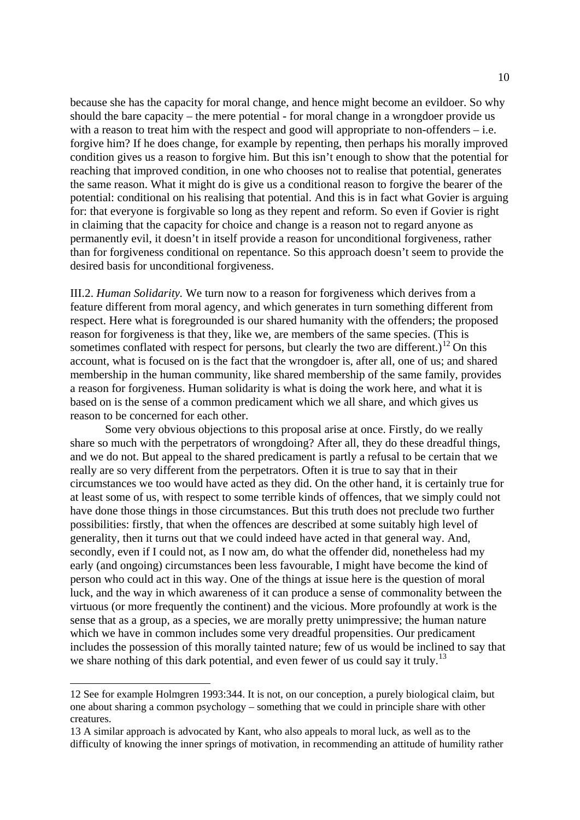because she has the capacity for moral change, and hence might become an evildoer. So why should the bare capacity – the mere potential - for moral change in a wrongdoer provide us with a reason to treat him with the respect and good will appropriate to non-offenders  $-$  i.e. forgive him? If he does change, for example by repenting, then perhaps his morally improved condition gives us a reason to forgive him. But this isn't enough to show that the potential for reaching that improved condition, in one who chooses not to realise that potential, generates the same reason. What it might do is give us a conditional reason to forgive the bearer of the potential: conditional on his realising that potential. And this is in fact what Govier is arguing for: that everyone is forgivable so long as they repent and reform. So even if Govier is right in claiming that the capacity for choice and change is a reason not to regard anyone as permanently evil, it doesn't in itself provide a reason for unconditional forgiveness, rather than for forgiveness conditional on repentance. So this approach doesn't seem to provide the desired basis for unconditional forgiveness.

III.2. *Human Solidarity.* We turn now to a reason for forgiveness which derives from a feature different from moral agency, and which generates in turn something different from respect. Here what is foregrounded is our shared humanity with the offenders; the proposed reason for forgiveness is that they, like we, are members of the same species. (This is sometimes conflated with respect for persons, but clearly the two are different.)<sup>[12](#page-9-0)</sup> On this account, what is focused on is the fact that the wrongdoer is, after all, one of us; and shared membership in the human community, like shared membership of the same family, provides a reason for forgiveness. Human solidarity is what is doing the work here, and what it is based on is the sense of a common predicament which we all share, and which gives us reason to be concerned for each other.

Some very obvious objections to this proposal arise at once. Firstly, do we really share so much with the perpetrators of wrongdoing? After all, they do these dreadful things, and we do not. But appeal to the shared predicament is partly a refusal to be certain that we really are so very different from the perpetrators. Often it is true to say that in their circumstances we too would have acted as they did. On the other hand, it is certainly true for at least some of us, with respect to some terrible kinds of offences, that we simply could not have done those things in those circumstances. But this truth does not preclude two further possibilities: firstly, that when the offences are described at some suitably high level of generality, then it turns out that we could indeed have acted in that general way. And, secondly, even if I could not, as I now am, do what the offender did, nonetheless had my early (and ongoing) circumstances been less favourable, I might have become the kind of person who could act in this way. One of the things at issue here is the question of moral luck, and the way in which awareness of it can produce a sense of commonality between the virtuous (or more frequently the continent) and the vicious. More profoundly at work is the sense that as a group, as a species, we are morally pretty unimpressive; the human nature which we have in common includes some very dreadful propensities. Our predicament includes the possession of this morally tainted nature; few of us would be inclined to say that we share nothing of this dark potential, and even fewer of us could say it truly.<sup>[13](#page-9-1)</sup>

<span id="page-9-0"></span><sup>12</sup> See for example Holmgren 1993:344. It is not, on our conception, a purely biological claim, but one about sharing a common psychology – something that we could in principle share with other creatures.

<span id="page-9-1"></span><sup>13</sup> A similar approach is advocated by Kant, who also appeals to moral luck, as well as to the difficulty of knowing the inner springs of motivation, in recommending an attitude of humility rather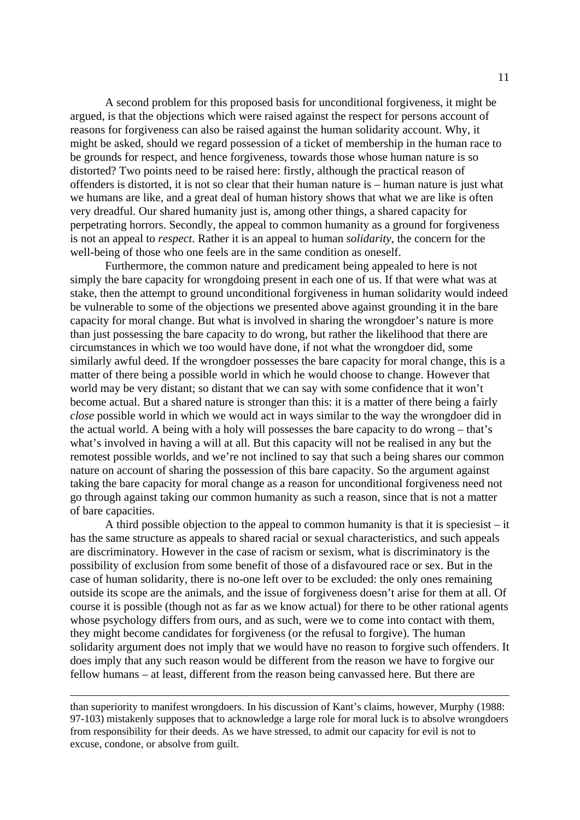A second problem for this proposed basis for unconditional forgiveness, it might be argued, is that the objections which were raised against the respect for persons account of reasons for forgiveness can also be raised against the human solidarity account. Why, it might be asked, should we regard possession of a ticket of membership in the human race to be grounds for respect, and hence forgiveness, towards those whose human nature is so distorted? Two points need to be raised here: firstly, although the practical reason of offenders is distorted, it is not so clear that their human nature is – human nature is just what we humans are like, and a great deal of human history shows that what we are like is often very dreadful. Our shared humanity just is, among other things, a shared capacity for perpetrating horrors. Secondly, the appeal to common humanity as a ground for forgiveness is not an appeal to *respect*. Rather it is an appeal to human *solidarity*, the concern for the well-being of those who one feels are in the same condition as oneself.

Furthermore, the common nature and predicament being appealed to here is not simply the bare capacity for wrongdoing present in each one of us. If that were what was at stake, then the attempt to ground unconditional forgiveness in human solidarity would indeed be vulnerable to some of the objections we presented above against grounding it in the bare capacity for moral change. But what is involved in sharing the wrongdoer's nature is more than just possessing the bare capacity to do wrong, but rather the likelihood that there are circumstances in which we too would have done, if not what the wrongdoer did, some similarly awful deed. If the wrongdoer possesses the bare capacity for moral change, this is a matter of there being a possible world in which he would choose to change. However that world may be very distant; so distant that we can say with some confidence that it won't become actual. But a shared nature is stronger than this: it is a matter of there being a fairly *close* possible world in which we would act in ways similar to the way the wrongdoer did in the actual world. A being with a holy will possesses the bare capacity to do wrong – that's what's involved in having a will at all. But this capacity will not be realised in any but the remotest possible worlds, and we're not inclined to say that such a being shares our common nature on account of sharing the possession of this bare capacity. So the argument against taking the bare capacity for moral change as a reason for unconditional forgiveness need not go through against taking our common humanity as such a reason, since that is not a matter of bare capacities.

A third possible objection to the appeal to common humanity is that it is speciesist – it has the same structure as appeals to shared racial or sexual characteristics, and such appeals are discriminatory. However in the case of racism or sexism, what is discriminatory is the possibility of exclusion from some benefit of those of a disfavoured race or sex. But in the case of human solidarity, there is no-one left over to be excluded: the only ones remaining outside its scope are the animals, and the issue of forgiveness doesn't arise for them at all. Of course it is possible (though not as far as we know actual) for there to be other rational agents whose psychology differs from ours, and as such, were we to come into contact with them, they might become candidates for forgiveness (or the refusal to forgive). The human solidarity argument does not imply that we would have no reason to forgive such offenders. It does imply that any such reason would be different from the reason we have to forgive our fellow humans – at least, different from the reason being canvassed here. But there are

 $\overline{a}$ 

than superiority to manifest wrongdoers. In his discussion of Kant's claims, however, Murphy (1988: 97-103) mistakenly supposes that to acknowledge a large role for moral luck is to absolve wrongdoers from responsibility for their deeds. As we have stressed, to admit our capacity for evil is not to excuse, condone, or absolve from guilt.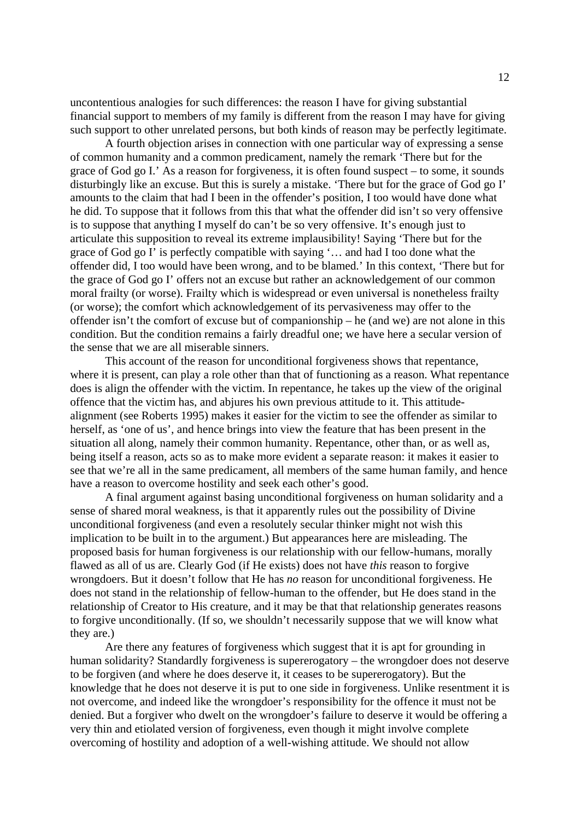uncontentious analogies for such differences: the reason I have for giving substantial financial support to members of my family is different from the reason I may have for giving such support to other unrelated persons, but both kinds of reason may be perfectly legitimate.

A fourth objection arises in connection with one particular way of expressing a sense of common humanity and a common predicament, namely the remark 'There but for the grace of God go I.' As a reason for forgiveness, it is often found suspect – to some, it sounds disturbingly like an excuse. But this is surely a mistake. 'There but for the grace of God go I' amounts to the claim that had I been in the offender's position, I too would have done what he did. To suppose that it follows from this that what the offender did isn't so very offensive is to suppose that anything I myself do can't be so very offensive. It's enough just to articulate this supposition to reveal its extreme implausibility! Saying 'There but for the grace of God go I' is perfectly compatible with saying '… and had I too done what the offender did, I too would have been wrong, and to be blamed.' In this context, 'There but for the grace of God go I' offers not an excuse but rather an acknowledgement of our common moral frailty (or worse). Frailty which is widespread or even universal is nonetheless frailty (or worse); the comfort which acknowledgement of its pervasiveness may offer to the offender isn't the comfort of excuse but of companionship – he (and we) are not alone in this condition. But the condition remains a fairly dreadful one; we have here a secular version of the sense that we are all miserable sinners.

This account of the reason for unconditional forgiveness shows that repentance, where it is present, can play a role other than that of functioning as a reason. What repentance does is align the offender with the victim. In repentance, he takes up the view of the original offence that the victim has, and abjures his own previous attitude to it. This attitudealignment (see Roberts 1995) makes it easier for the victim to see the offender as similar to herself, as 'one of us', and hence brings into view the feature that has been present in the situation all along, namely their common humanity. Repentance, other than, or as well as, being itself a reason, acts so as to make more evident a separate reason: it makes it easier to see that we're all in the same predicament, all members of the same human family, and hence have a reason to overcome hostility and seek each other's good.

A final argument against basing unconditional forgiveness on human solidarity and a sense of shared moral weakness, is that it apparently rules out the possibility of Divine unconditional forgiveness (and even a resolutely secular thinker might not wish this implication to be built in to the argument.) But appearances here are misleading. The proposed basis for human forgiveness is our relationship with our fellow-humans, morally flawed as all of us are. Clearly God (if He exists) does not have *this* reason to forgive wrongdoers. But it doesn't follow that He has *no* reason for unconditional forgiveness. He does not stand in the relationship of fellow-human to the offender, but He does stand in the relationship of Creator to His creature, and it may be that that relationship generates reasons to forgive unconditionally. (If so, we shouldn't necessarily suppose that we will know what they are.)

Are there any features of forgiveness which suggest that it is apt for grounding in human solidarity? Standardly forgiveness is supererogatory – the wrongdoer does not deserve to be forgiven (and where he does deserve it, it ceases to be supererogatory). But the knowledge that he does not deserve it is put to one side in forgiveness. Unlike resentment it is not overcome, and indeed like the wrongdoer's responsibility for the offence it must not be denied. But a forgiver who dwelt on the wrongdoer's failure to deserve it would be offering a very thin and etiolated version of forgiveness, even though it might involve complete overcoming of hostility and adoption of a well-wishing attitude. We should not allow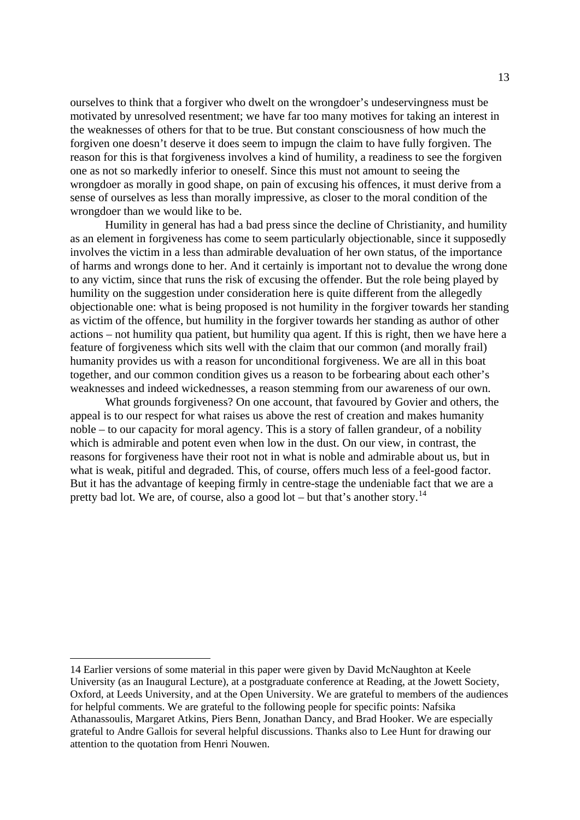ourselves to think that a forgiver who dwelt on the wrongdoer's undeservingness must be motivated by unresolved resentment; we have far too many motives for taking an interest in the weaknesses of others for that to be true. But constant consciousness of how much the forgiven one doesn't deserve it does seem to impugn the claim to have fully forgiven. The reason for this is that forgiveness involves a kind of humility, a readiness to see the forgiven one as not so markedly inferior to oneself. Since this must not amount to seeing the wrongdoer as morally in good shape, on pain of excusing his offences, it must derive from a sense of ourselves as less than morally impressive, as closer to the moral condition of the wrongdoer than we would like to be.

Humility in general has had a bad press since the decline of Christianity, and humility as an element in forgiveness has come to seem particularly objectionable, since it supposedly involves the victim in a less than admirable devaluation of her own status, of the importance of harms and wrongs done to her. And it certainly is important not to devalue the wrong done to any victim, since that runs the risk of excusing the offender. But the role being played by humility on the suggestion under consideration here is quite different from the allegedly objectionable one: what is being proposed is not humility in the forgiver towards her standing as victim of the offence, but humility in the forgiver towards her standing as author of other actions – not humility qua patient, but humility qua agent. If this is right, then we have here a feature of forgiveness which sits well with the claim that our common (and morally frail) humanity provides us with a reason for unconditional forgiveness. We are all in this boat together, and our common condition gives us a reason to be forbearing about each other's weaknesses and indeed wickednesses, a reason stemming from our awareness of our own.

What grounds forgiveness? On one account, that favoured by Govier and others, the appeal is to our respect for what raises us above the rest of creation and makes humanity noble – to our capacity for moral agency. This is a story of fallen grandeur, of a nobility which is admirable and potent even when low in the dust. On our view, in contrast, the reasons for forgiveness have their root not in what is noble and admirable about us, but in what is weak, pitiful and degraded. This, of course, offers much less of a feel-good factor. But it has the advantage of keeping firmly in centre-stage the undeniable fact that we are a pretty bad lot. We are, of course, also a good lot – but that's another story.<sup>[14](#page-12-0)</sup>

<span id="page-12-0"></span><sup>14</sup> Earlier versions of some material in this paper were given by David McNaughton at Keele University (as an Inaugural Lecture), at a postgraduate conference at Reading, at the Jowett Society, Oxford, at Leeds University, and at the Open University. We are grateful to members of the audiences for helpful comments. We are grateful to the following people for specific points: Nafsika Athanassoulis, Margaret Atkins, Piers Benn, Jonathan Dancy, and Brad Hooker. We are especially grateful to Andre Gallois for several helpful discussions. Thanks also to Lee Hunt for drawing our attention to the quotation from Henri Nouwen.